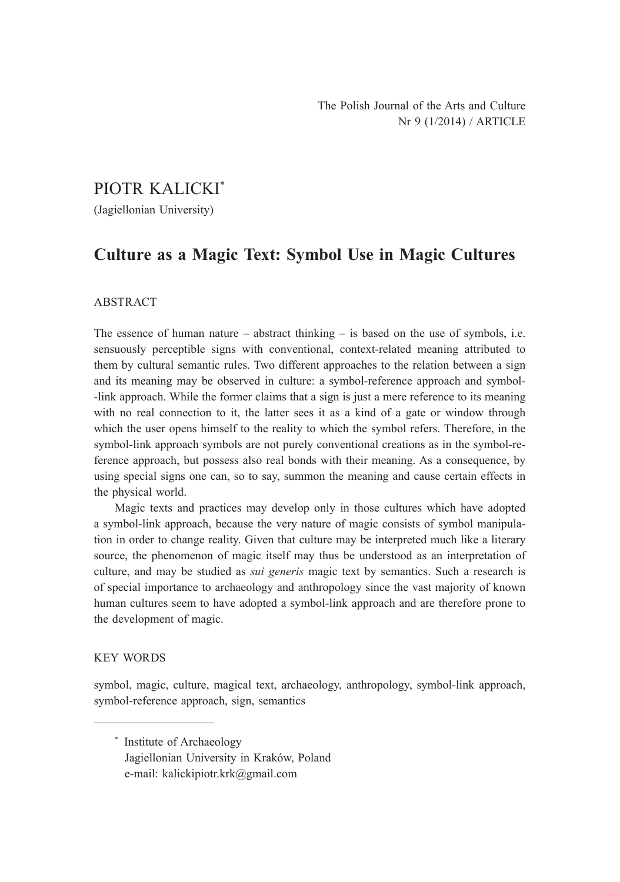# PIOTR KALICKI\*

(Jagiellonian University)

# **Culture as a Magic Text: Symbol Use in Magic Cultures**

### ABSTRACT

The essence of human nature  $-$  abstract thinking  $-$  is based on the use of symbols, i.e. sensuously perceptible signs with conventional, context-related meaning attributed to them by cultural semantic rules. Two different approaches to the relation between a sign and its meaning may be observed in culture: a symbol-reference approach and symbol- -link approach. While the former claims that a sign is just a mere reference to its meaning with no real connection to it, the latter sees it as a kind of a gate or window through which the user opens himself to the reality to which the symbol refers. Therefore, in the symbol-link approach symbols are not purely conventional creations as in the symbol-reference approach, but possess also real bonds with their meaning. As a consequence, by using special signs one can, so to say, summon the meaning and cause certain effects in the physical world.

Magic texts and practices may develop only in those cultures which have adopted a symbol-link approach, because the very nature of magic consists of symbol manipulation in order to change reality. Given that culture may be interpreted much like a literary source, the phenomenon of magic itself may thus be understood as an interpretation of culture, and may be studied as *sui generis* magic text by semantics. Such a research is of special importance to archaeology and anthropology since the vast majority of known human cultures seem to have adopted a symbol-link approach and are therefore prone to the development of magic.

#### KEY WORDS

symbol, magic, culture, magical text, archaeology, anthropology, symbol-link approach, symbol-reference approach, sign, semantics

<sup>\*</sup> Institute of Archaeology Jagiellonian University in Kraków, Poland e-mail: kalickipiotr.krk@gmail.com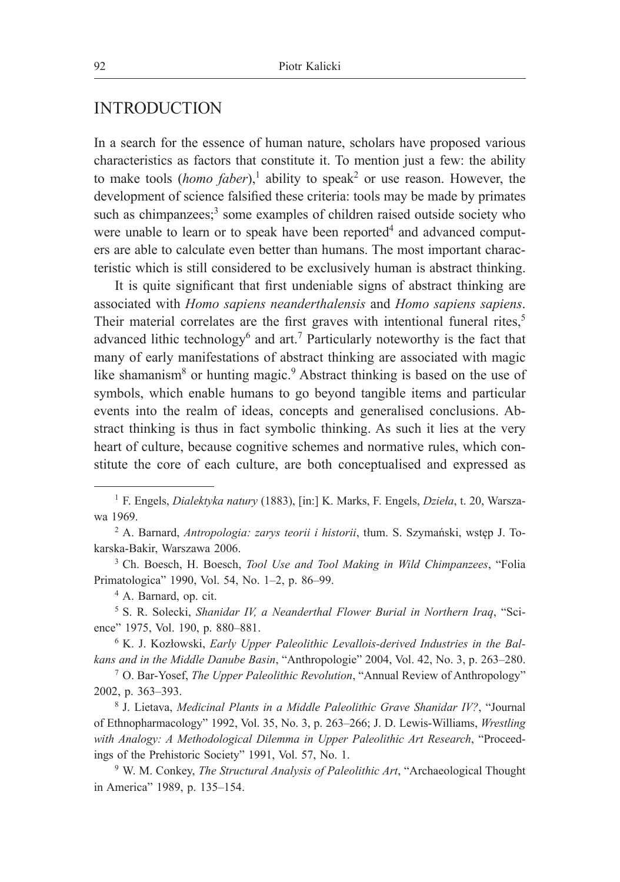## INTRODUCTION

In a search for the essence of human nature, scholars have proposed various characteristics as factors that constitute it. To mention just a few: the ability to make tools (*homo faber*),<sup>1</sup> ability to speak<sup>2</sup> or use reason. However, the development of science falsified these criteria: tools may be made by primates such as chimpanzees; $3$  some examples of children raised outside society who were unable to learn or to speak have been reported $4$  and advanced computers are able to calculate even better than humans. The most important characteristic which is still considered to be exclusively human is abstract thinking.

It is quite significant that first undeniable signs of abstract thinking are associated with *Homo sapiens neanderthalensis* and *Homo sapiens sapiens*. Their material correlates are the first graves with intentional funeral rites,<sup>5</sup> advanced lithic technology<sup>6</sup> and art.<sup>7</sup> Particularly noteworthy is the fact that many of early manifestations of abstract thinking are associated with magic like shamanism<sup>8</sup> or hunting magic.<sup>9</sup> Abstract thinking is based on the use of symbols, which enable humans to go beyond tangible items and particular events into the realm of ideas, concepts and generalised conclusions. Abstract thinking is thus in fact symbolic thinking. As such it lies at the very heart of culture, because cognitive schemes and normative rules, which constitute the core of each culture, are both conceptualised and expressed as

<sup>1</sup> F. Engels, *Dialektyka natury* (1883), [in:] K. Marks, F. Engels, *Dzieła*, t. 20, Warszawa 1969.

<sup>2</sup> A. Barnard, *Antropologia: zarys teorii i historii*, tłum. S. Szymański, wstęp J. Tokarska-Bakir, Warszawa 2006.

<sup>3</sup> Ch. Boesch, H. Boesch, *Tool Use and Tool Making in Wild Chimpanzees*, "Folia Primatologica" 1990, Vol. 54, No. 1–2, p. 86–99.

<sup>4</sup> A. Barnard, op. cit.

<sup>5</sup> S. R. Solecki, *Shanidar IV, a Neanderthal Flower Burial in Northern Iraq*, "Science" 1975, Vol. 190, p. 880-881.

<sup>6</sup> K. J. Kozłowski, *Early Upper Paleolithic Levallois-derived Industries in the Balkans and in the Middle Danube Basin*, "Anthropologie" 2004, Vol. 42, No. 3, p. 263-280.

<sup>7</sup> O. Bar-Yosef, *The Upper Paleolithic Revolution*, "Annual Review of Anthropology" 2002, p. 363‒393.

<sup>8</sup> J. Lietava, *Medicinal Plants in a Middle Paleolithic Grave Shanidar IV?*, "Journal of Ethnopharmacology" 1992, Vol. 35, No. 3, p. 263‒266; J. D. Lewis-Williams, *Wrestling with Analogy: A Methodological Dilemma in Upper Paleolithic Art Research*, "Proceedings of the Prehistoric Society" 1991, Vol. 57, No. 1.

<sup>9</sup> W. M. Conkey, *The Structural Analysis of Paleolithic Art*, "Archaeological Thought in America" 1989, p. 135-154.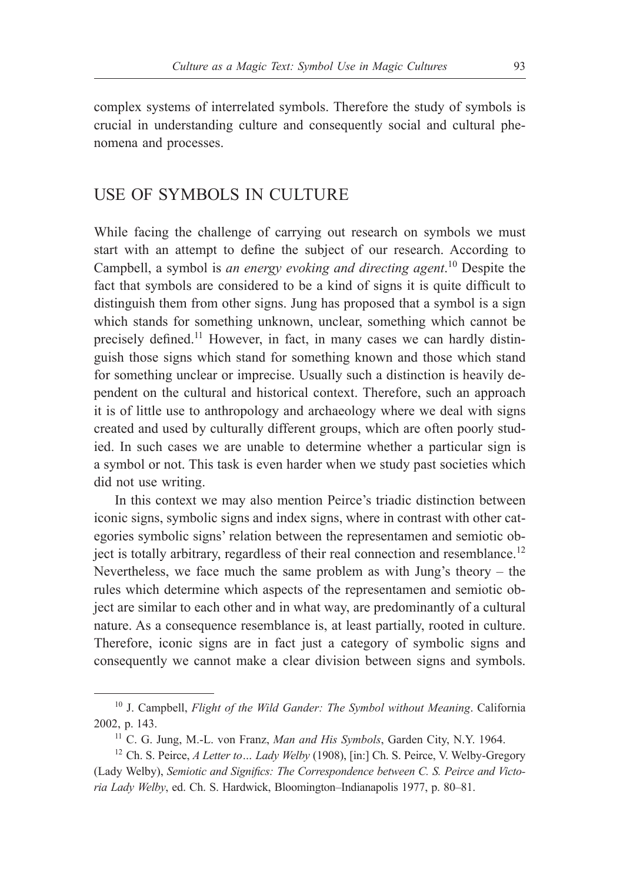complex systems of interrelated symbols. Therefore the study of symbols is crucial in understanding culture and consequently social and cultural phenomena and processes.

## USE OF SYMBOLS IN CULTURE

While facing the challenge of carrying out research on symbols we must start with an attempt to define the subject of our research. According to Campbell, a symbol is *an energy evoking and directing agent*. <sup>10</sup> Despite the fact that symbols are considered to be a kind of signs it is quite difficult to distinguish them from other signs. Jung has proposed that a symbol is a sign which stands for something unknown, unclear, something which cannot be precisely defined.<sup>11</sup> However, in fact, in many cases we can hardly distinguish those signs which stand for something known and those which stand for something unclear or imprecise. Usually such a distinction is heavily dependent on the cultural and historical context. Therefore, such an approach it is of little use to anthropology and archaeology where we deal with signs created and used by culturally different groups, which are often poorly studied. In such cases we are unable to determine whether a particular sign is a symbol or not. This task is even harder when we study past societies which did not use writing.

In this context we may also mention Peirce's triadic distinction between iconic signs, symbolic signs and index signs, where in contrast with other categories symbolic signs' relation between the representamen and semiotic object is totally arbitrary, regardless of their real connection and resemblance.<sup>12</sup> Nevertheless, we face much the same problem as with Jung's theory – the rules which determine which aspects of the representamen and semiotic object are similar to each other and in what way, are predominantly of a cultural nature. As a consequence resemblance is, at least partially, rooted in culture. Therefore, iconic signs are in fact just a category of symbolic signs and consequently we cannot make a clear division between signs and symbols.

<sup>10</sup> J. Campbell, *Flight of the Wild Gander: The Symbol without Meaning*. California 2002, p. 143.

<sup>11</sup> C. G. Jung, M.-L. von Franz, *Man and His Symbols*, Garden City, N.Y. 1964.

<sup>12</sup> Ch. S. Peirce, *A Letter to… Lady Welby* (1908), [in:] Ch. S. Peirce, V. Welby-Gregory (Lady Welby), *Semiotic and Significs: The Correspondence between C. S. Peirce and Victoria Lady Welby*, ed. Ch. S. Hardwick, Bloomington-Indianapolis 1977, p. 80–81.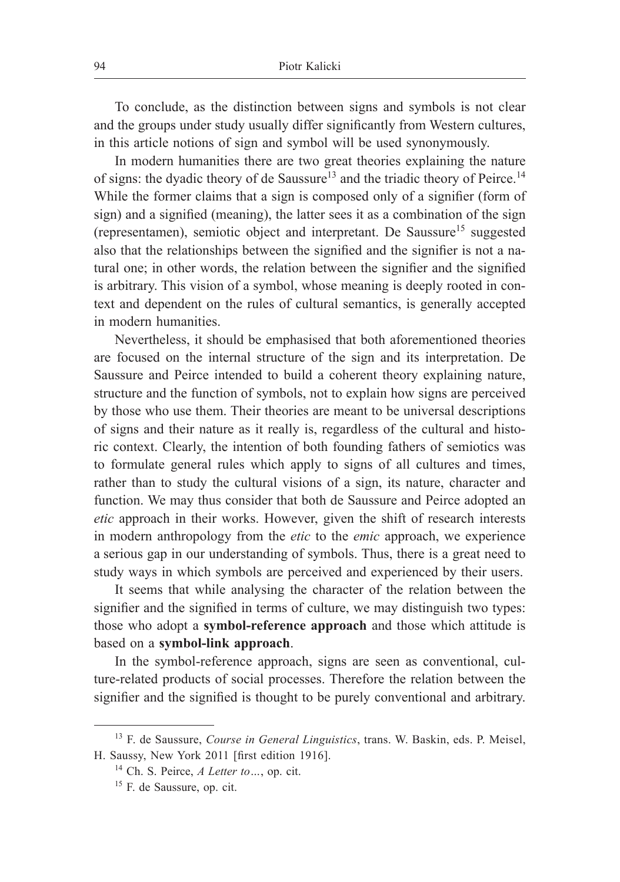To conclude, as the distinction between signs and symbols is not clear and the groups under study usually differ significantly from Western cultures, in this article notions of sign and symbol will be used synonymously.

In modern humanities there are two great theories explaining the nature of signs: the dyadic theory of de Saussure<sup>13</sup> and the triadic theory of Peirce.<sup>14</sup> While the former claims that a sign is composed only of a signifier (form of sign) and a signified (meaning), the latter sees it as a combination of the sign (representamen), semiotic object and interpretant. De Saussure<sup>15</sup> suggested also that the relationships between the signified and the signifier is not a natural one; in other words, the relation between the signifier and the signified is arbitrary. This vision of a symbol, whose meaning is deeply rooted in context and dependent on the rules of cultural semantics, is generally accepted in modern humanities.

Nevertheless, it should be emphasised that both aforementioned theories are focused on the internal structure of the sign and its interpretation. De Saussure and Peirce intended to build a coherent theory explaining nature, structure and the function of symbols, not to explain how signs are perceived by those who use them. Their theories are meant to be universal descriptions of signs and their nature as it really is, regardless of the cultural and historic context. Clearly, the intention of both founding fathers of semiotics was to formulate general rules which apply to signs of all cultures and times, rather than to study the cultural visions of a sign, its nature, character and function. We may thus consider that both de Saussure and Peirce adopted an *etic* approach in their works. However, given the shift of research interests in modern anthropology from the *etic* to the *emic* approach, we experience a serious gap in our understanding of symbols. Thus, there is a great need to study ways in which symbols are perceived and experienced by their users.

It seems that while analysing the character of the relation between the signifier and the signified in terms of culture, we may distinguish two types: those who adopt a **symbol-reference approach** and those which attitude is based on a **symbol-link approach**.

In the symbol-reference approach, signs are seen as conventional, culture-related products of social processes. Therefore the relation between the signifier and the signified is thought to be purely conventional and arbitrary.

<sup>13</sup> F. de Saussure, *Course in General Linguistics*, trans. W. Baskin, eds. P. Meisel, H. Saussy, New York 2011 [first edition 1916].

<sup>14</sup> Ch. S. Peirce, *A Letter to…*, op. cit.

<sup>15</sup> F. de Saussure, op. cit.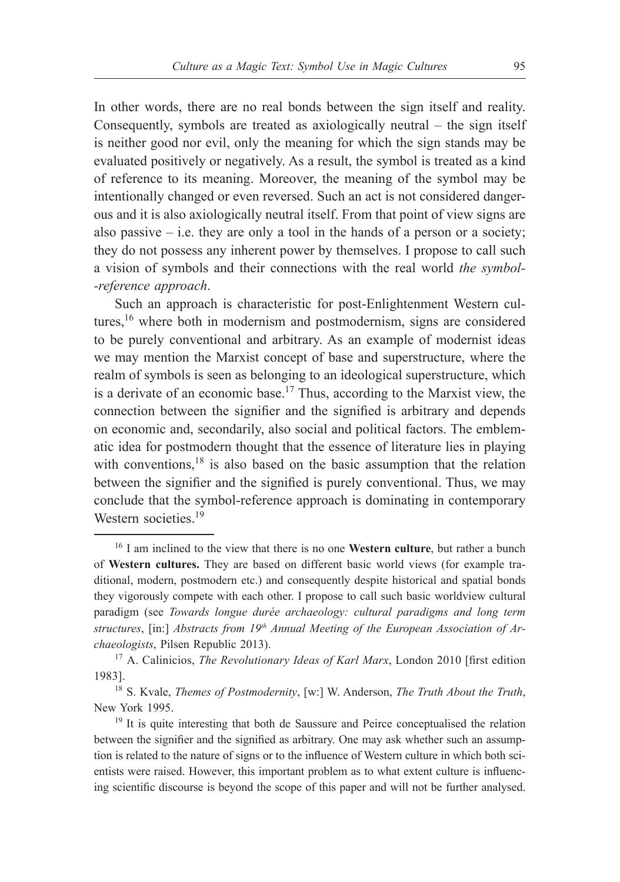In other words, there are no real bonds between the sign itself and reality. Consequently, symbols are treated as axiologically neutral – the sign itself is neither good nor evil, only the meaning for which the sign stands may be evaluated positively or negatively. As a result, the symbol is treated as a kind of reference to its meaning. Moreover, the meaning of the symbol may be intentionally changed or even reversed. Such an act is not considered dangerous and it is also axiologically neutral itself. From that point of view signs are also passive  $-$  i.e. they are only a tool in the hands of a person or a society; they do not possess any inherent power by themselves. I propose to call such a vision of symbols and their connections with the real world *the symbol- -reference approach*.

Such an approach is characteristic for post-Enlightenment Western cultures,<sup>16</sup> where both in modernism and postmodernism, signs are considered to be purely conventional and arbitrary. As an example of modernist ideas we may mention the Marxist concept of base and superstructure, where the realm of symbols is seen as belonging to an ideological superstructure, which is a derivate of an economic base.<sup>17</sup> Thus, according to the Marxist view, the connection between the signifier and the signified is arbitrary and depends on economic and, secondarily, also social and political factors. The emblematic idea for postmodern thought that the essence of literature lies in playing with conventions, $18$  is also based on the basic assumption that the relation between the signifier and the signified is purely conventional. Thus, we may conclude that the symbol-reference approach is dominating in contemporary Western societies<sup>19</sup>

<sup>16</sup> I am inclined to the view that there is no one **Western culture**, but rather a bunch of **Western cultures.** They are based on different basic world views (for example traditional, modern, postmodern etc.) and consequently despite historical and spatial bonds they vigorously compete with each other. I propose to call such basic worldview cultural paradigm (see *Towards longue durée archaeology: cultural paradigms and long term*  structures, [in:] *Abstracts from 19<sup>th</sup> Annual Meeting of the European Association of Archaeologists*, Pilsen Republic 2013).

<sup>&</sup>lt;sup>17</sup> A. Calinicios, *The Revolutionary Ideas of Karl Marx*, London 2010 [first edition 1983].

<sup>18</sup> S. Kvale, *Themes of Postmodernity*, [w:] W. Anderson, *The Truth About the Truth*, New York 1995.

<sup>&</sup>lt;sup>19</sup> It is quite interesting that both de Saussure and Peirce conceptualised the relation between the signifier and the signified as arbitrary. One may ask whether such an assumption is related to the nature of signs or to the influence of Western culture in which both scientists were raised. However, this important problem as to what extent culture is influencing scientific discourse is beyond the scope of this paper and will not be further analysed.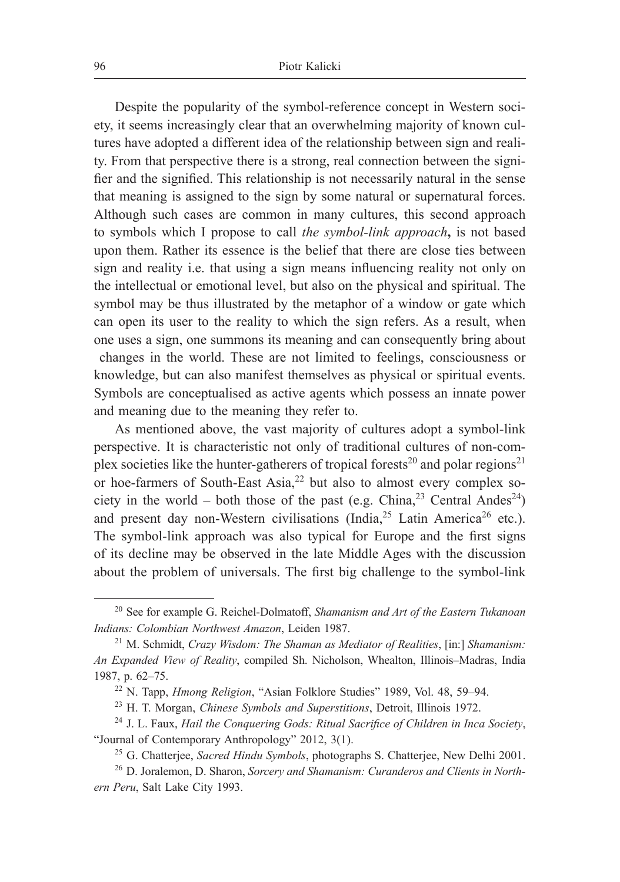Despite the popularity of the symbol-reference concept in Western society, it seems increasingly clear that an overwhelming majority of known cultures have adopted a different idea of the relationship between sign and reality. From that perspective there is a strong, real connection between the signifier and the signified. This relationship is not necessarily natural in the sense that meaning is assigned to the sign by some natural or supernatural forces. Although such cases are common in many cultures, this second approach to symbols which I propose to call *the symbol-link approach***,** is not based upon them. Rather its essence is the belief that there are close ties between sign and reality i.e. that using a sign means influencing reality not only on the intellectual or emotional level, but also on the physical and spiritual. The symbol may be thus illustrated by the metaphor of a window or gate which can open its user to the reality to which the sign refers. As a result, when one uses a sign, one summons its meaning and can consequently bring about changes in the world. These are not limited to feelings, consciousness or knowledge, but can also manifest themselves as physical or spiritual events. Symbols are conceptualised as active agents which possess an innate power and meaning due to the meaning they refer to.

As mentioned above, the vast majority of cultures adopt a symbol-link perspective. It is characteristic not only of traditional cultures of non-complex societies like the hunter-gatherers of tropical forests<sup>20</sup> and polar regions<sup>21</sup> or hoe-farmers of South-East Asia,<sup>22</sup> but also to almost every complex society in the world – both those of the past (e.g. China,  $2^3$  Central Andes<sup>24</sup>) and present day non-Western civilisations (India,  $2^5$  Latin America<sup>26</sup> etc.). The symbol-link approach was also typical for Europe and the first signs of its decline may be observed in the late Middle Ages with the discussion about the problem of universals. The first big challenge to the symbol-link

<sup>20</sup> See for example G. Reichel-Dolmatoff, *Shamanism and Art of the Eastern Tukanoan Indians: Colombian Northwest Amazon*, Leiden 1987.

<sup>21</sup> M. Schmidt, *Crazy Wisdom: The Shaman as Mediator of Realities*, [in:] *Shamanism: An Expanded View of Reality*, compiled Sh. Nicholson, Whealton, Illinois-Madras, India 1987, p. 62–75.

<sup>&</sup>lt;sup>22</sup> N. Tapp, *Hmong Religion*, "Asian Folklore Studies" 1989, Vol. 48, 59–94.

<sup>23</sup> H. T. Morgan, *Chinese Symbols and Superstitions*, Detroit, Illinois 1972.

<sup>24</sup> J. L. Faux, *Hail the Conquering Gods: Ritual Sacrifice of Children in Inca Society*, "Journal of Contemporary Anthropology" 2012, 3(1).

<sup>25</sup> G. Chatterjee, *Sacred Hindu Symbols*, photographs S. Chatterjee, New Delhi 2001.

<sup>26</sup> D. Joralemon, D. Sharon, *Sorcery and Shamanism: Curanderos and Clients in Northern Peru*, Salt Lake City 1993.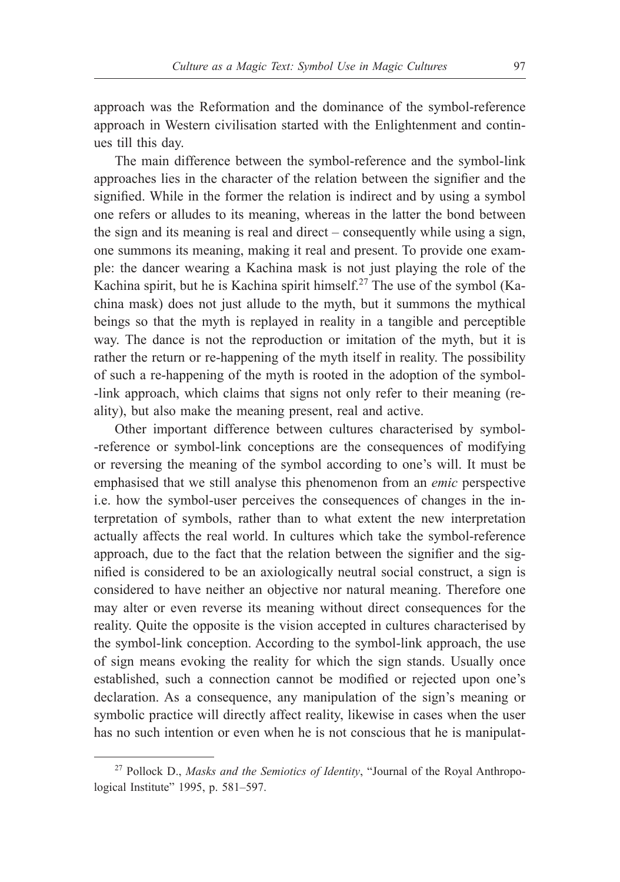approach was the Reformation and the dominance of the symbol-reference approach in Western civilisation started with the Enlightenment and continues till this day.

The main difference between the symbol-reference and the symbol-link approaches lies in the character of the relation between the signifier and the signified. While in the former the relation is indirect and by using a symbol one refers or alludes to its meaning, whereas in the latter the bond between the sign and its meaning is real and direct – consequently while using a sign, one summons its meaning, making it real and present. To provide one example: the dancer wearing a Kachina mask is not just playing the role of the Kachina spirit, but he is Kachina spirit himself.<sup>27</sup> The use of the symbol (Kachina mask) does not just allude to the myth, but it summons the mythical beings so that the myth is replayed in reality in a tangible and perceptible way. The dance is not the reproduction or imitation of the myth, but it is rather the return or re-happening of the myth itself in reality. The possibility of such a re-happening of the myth is rooted in the adoption of the symbol- -link approach, which claims that signs not only refer to their meaning (reality), but also make the meaning present, real and active.

Other important difference between cultures characterised by symbol- -reference or symbol-link conceptions are the consequences of modifying or reversing the meaning of the symbol according to one's will. It must be emphasised that we still analyse this phenomenon from an *emic* perspective i.e. how the symbol-user perceives the consequences of changes in the interpretation of symbols, rather than to what extent the new interpretation actually affects the real world. In cultures which take the symbol-reference approach, due to the fact that the relation between the signifier and the signified is considered to be an axiologically neutral social construct, a sign is considered to have neither an objective nor natural meaning. Therefore one may alter or even reverse its meaning without direct consequences for the reality. Quite the opposite is the vision accepted in cultures characterised by the symbol-link conception. According to the symbol-link approach, the use of sign means evoking the reality for which the sign stands. Usually once established, such a connection cannot be modified or rejected upon one's declaration. As a consequence, any manipulation of the sign's meaning or symbolic practice will directly affect reality, likewise in cases when the user has no such intention or even when he is not conscious that he is manipulat-

<sup>27</sup> Pollock D., *Masks and the Semiotics of Identity*, "Journal of the Royal Anthropological Institute" 1995, p. 581-597.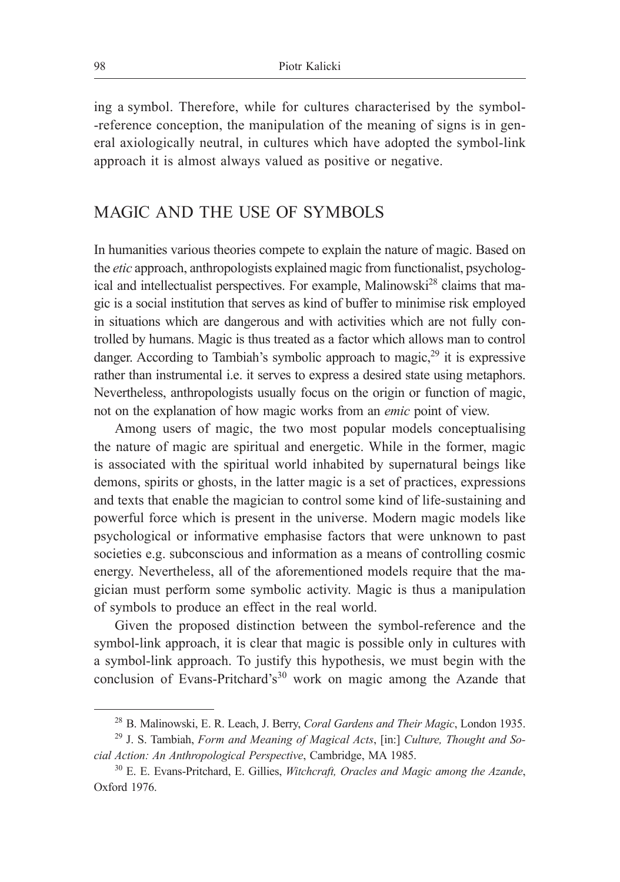ing a symbol. Therefore, while for cultures characterised by the symbol- -reference conception, the manipulation of the meaning of signs is in general axiologically neutral, in cultures which have adopted the symbol-link approach it is almost always valued as positive or negative.

### MAGIC AND THE USE OF SYMBOLS

In humanities various theories compete to explain the nature of magic. Based on the *etic* approach, anthropologists explained magic from functionalist, psychological and intellectualist perspectives. For example, Malinowski<sup>28</sup> claims that magic is a social institution that serves as kind of buffer to minimise risk employed in situations which are dangerous and with activities which are not fully controlled by humans. Magic is thus treated as a factor which allows man to control danger. According to Tambiah's symbolic approach to magic, $2<sup>9</sup>$  it is expressive rather than instrumental i.e. it serves to express a desired state using metaphors. Nevertheless, anthropologists usually focus on the origin or function of magic, not on the explanation of how magic works from an *emic* point of view.

Among users of magic, the two most popular models conceptualising the nature of magic are spiritual and energetic. While in the former, magic is associated with the spiritual world inhabited by supernatural beings like demons, spirits or ghosts, in the latter magic is a set of practices, expressions and texts that enable the magician to control some kind of life-sustaining and powerful force which is present in the universe. Modern magic models like psychological or informative emphasise factors that were unknown to past societies e.g. subconscious and information as a means of controlling cosmic energy. Nevertheless, all of the aforementioned models require that the magician must perform some symbolic activity. Magic is thus a manipulation of symbols to produce an effect in the real world.

Given the proposed distinction between the symbol-reference and the symbol-link approach, it is clear that magic is possible only in cultures with a symbol-link approach. To justify this hypothesis, we must begin with the conclusion of Evans-Pritchard's<sup>30</sup> work on magic among the Azande that

<sup>28</sup> B. Malinowski, E. R. Leach, J. Berry, *Coral Gardens and Their Magic*, London 1935.

<sup>29</sup> J. S. Tambiah, *Form and Meaning of Magical Acts*, [in:] *Culture, Thought and Social Action: An Anthropological Perspective*, Cambridge, MA 1985.

<sup>30</sup> E. E. Evans-Pritchard, E. Gillies, *Witchcraft, Oracles and Magic among the Azande*, Oxford 1976.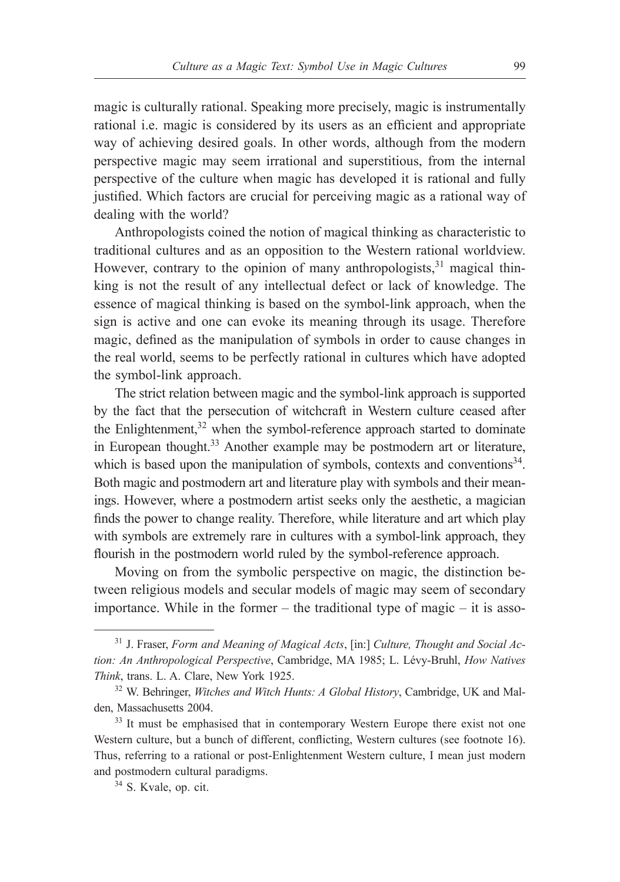magic is culturally rational. Speaking more precisely, magic is instrumentally rational i.e. magic is considered by its users as an efficient and appropriate way of achieving desired goals. In other words, although from the modern perspective magic may seem irrational and superstitious, from the internal perspective of the culture when magic has developed it is rational and fully justified. Which factors are crucial for perceiving magic as a rational way of dealing with the world?

Anthropologists coined the notion of magical thinking as characteristic to traditional cultures and as an opposition to the Western rational worldview. However, contrary to the opinion of many anthropologists, $31$  magical thinking is not the result of any intellectual defect or lack of knowledge. The essence of magical thinking is based on the symbol-link approach, when the sign is active and one can evoke its meaning through its usage. Therefore magic, defined as the manipulation of symbols in order to cause changes in the real world, seems to be perfectly rational in cultures which have adopted the symbol-link approach.

The strict relation between magic and the symbol-link approach is supported by the fact that the persecution of witchcraft in Western culture ceased after the Enlightenment, $32$  when the symbol-reference approach started to dominate in European thought.<sup>33</sup> Another example may be postmodern art or literature, which is based upon the manipulation of symbols, contexts and conventions $34$ . Both magic and postmodern art and literature play with symbols and their meanings. However, where a postmodern artist seeks only the aesthetic, a magician finds the power to change reality. Therefore, while literature and art which play with symbols are extremely rare in cultures with a symbol-link approach, they flourish in the postmodern world ruled by the symbol-reference approach.

Moving on from the symbolic perspective on magic, the distinction between religious models and secular models of magic may seem of secondary importance. While in the former  $-$  the traditional type of magic  $-$  it is asso-

<sup>31</sup> J. Fraser, *Form and Meaning of Magical Acts*, [in:] *Culture, Thought and Social Action: An Anthropological Perspective*, Cambridge, MA 1985; L. Lévy-Bruhl, *How Natives Think*, trans. L. A. Clare, New York 1925.

<sup>32</sup> W. Behringer, *Witches and Witch Hunts: A Global History*, Cambridge, UK and Malden, Massachusetts 2004.

<sup>&</sup>lt;sup>33</sup> It must be emphasised that in contemporary Western Europe there exist not one Western culture, but a bunch of different, conflicting, Western cultures (see footnote 16). Thus, referring to a rational or post-Enlightenment Western culture, I mean just modern and postmodern cultural paradigms.

<sup>34</sup> S. Kvale, op. cit.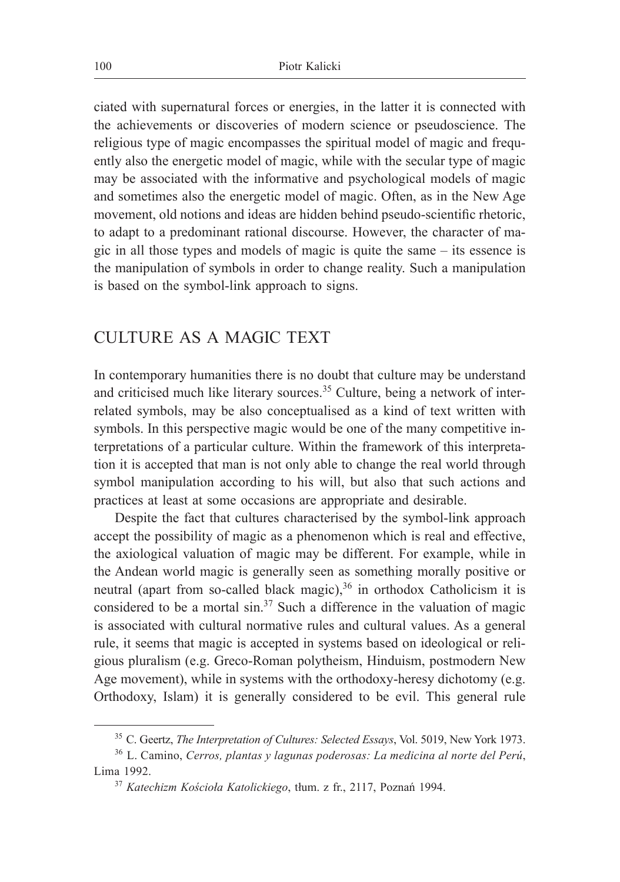ciated with supernatural forces or energies, in the latter it is connected with the achievements or discoveries of modern science or pseudoscience. The religious type of magic encompasses the spiritual model of magic and frequently also the energetic model of magic, while with the secular type of magic may be associated with the informative and psychological models of magic and sometimes also the energetic model of magic. Often, as in the New Age movement, old notions and ideas are hidden behind pseudo-scientific rhetoric, to adapt to a predominant rational discourse. However, the character of magic in all those types and models of magic is quite the same – its essence is the manipulation of symbols in order to change reality. Such a manipulation is based on the symbol-link approach to signs.

## CULTURE AS A MAGIC TEXT

In contemporary humanities there is no doubt that culture may be understand and criticised much like literary sources.<sup>35</sup> Culture, being a network of interrelated symbols, may be also conceptualised as a kind of text written with symbols. In this perspective magic would be one of the many competitive interpretations of a particular culture. Within the framework of this interpretation it is accepted that man is not only able to change the real world through symbol manipulation according to his will, but also that such actions and practices at least at some occasions are appropriate and desirable.

Despite the fact that cultures characterised by the symbol-link approach accept the possibility of magic as a phenomenon which is real and effective, the axiological valuation of magic may be different. For example, while in the Andean world magic is generally seen as something morally positive or neutral (apart from so-called black magic), $36$  in orthodox Catholicism it is considered to be a mortal  $\sin^{37}$  Such a difference in the valuation of magic is associated with cultural normative rules and cultural values. As a general rule, it seems that magic is accepted in systems based on ideological or religious pluralism (e.g. Greco-Roman polytheism, Hinduism, postmodern New Age movement), while in systems with the orthodoxy-heresy dichotomy (e.g. Orthodoxy, Islam) it is generally considered to be evil. This general rule

<sup>35</sup> C. Geertz, *The Interpretation of Cultures: Selected Essays*, Vol. 5019, New York 1973.

<sup>36</sup> L. Camino, *Cerros, plantas y lagunas poderosas: La medicina al norte del Perú*, Lima 1992.

<sup>37</sup> *Katechizm Kościoła Katolickiego*, tłum. z fr., 2117, Poznań 1994.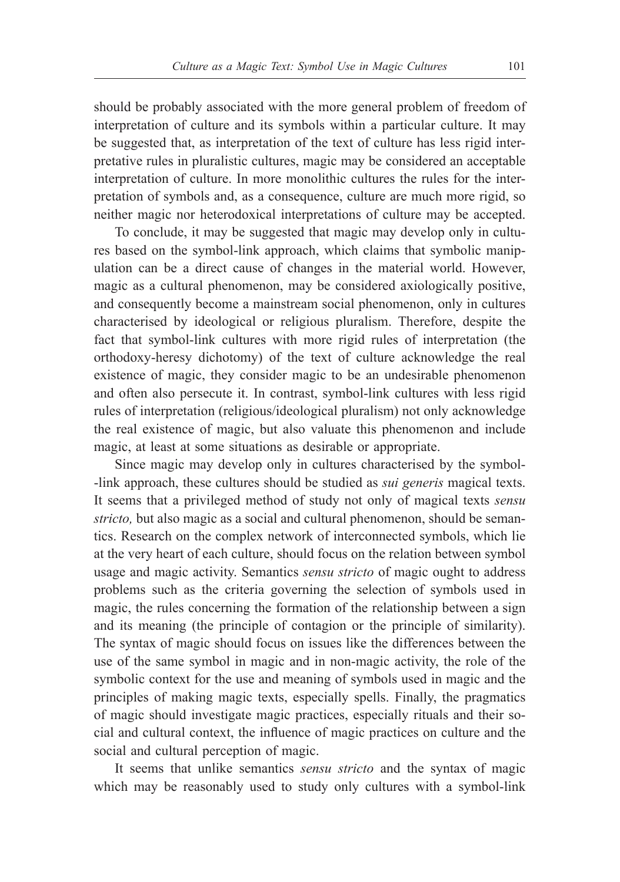should be probably associated with the more general problem of freedom of interpretation of culture and its symbols within a particular culture. It may be suggested that, as interpretation of the text of culture has less rigid interpretative rules in pluralistic cultures, magic may be considered an acceptable interpretation of culture. In more monolithic cultures the rules for the interpretation of symbols and, as a consequence, culture are much more rigid, so neither magic nor heterodoxical interpretations of culture may be accepted.

To conclude, it may be suggested that magic may develop only in cultures based on the symbol-link approach, which claims that symbolic manipulation can be a direct cause of changes in the material world. However, magic as a cultural phenomenon, may be considered axiologically positive, and consequently become a mainstream social phenomenon, only in cultures characterised by ideological or religious pluralism. Therefore, despite the fact that symbol-link cultures with more rigid rules of interpretation (the orthodoxy-heresy dichotomy) of the text of culture acknowledge the real existence of magic, they consider magic to be an undesirable phenomenon and often also persecute it. In contrast, symbol-link cultures with less rigid rules of interpretation (religious/ideological pluralism) not only acknowledge the real existence of magic, but also valuate this phenomenon and include magic, at least at some situations as desirable or appropriate.

Since magic may develop only in cultures characterised by the symbol- -link approach, these cultures should be studied as *sui generis* magical texts. It seems that a privileged method of study not only of magical texts *sensu stricto,* but also magic as a social and cultural phenomenon, should be semantics. Research on the complex network of interconnected symbols, which lie at the very heart of each culture, should focus on the relation between symbol usage and magic activity. Semantics *sensu stricto* of magic ought to address problems such as the criteria governing the selection of symbols used in magic, the rules concerning the formation of the relationship between a sign and its meaning (the principle of contagion or the principle of similarity). The syntax of magic should focus on issues like the differences between the use of the same symbol in magic and in non-magic activity, the role of the symbolic context for the use and meaning of symbols used in magic and the principles of making magic texts, especially spells. Finally, the pragmatics of magic should investigate magic practices, especially rituals and their social and cultural context, the influence of magic practices on culture and the social and cultural perception of magic.

It seems that unlike semantics *sensu stricto* and the syntax of magic which may be reasonably used to study only cultures with a symbol-link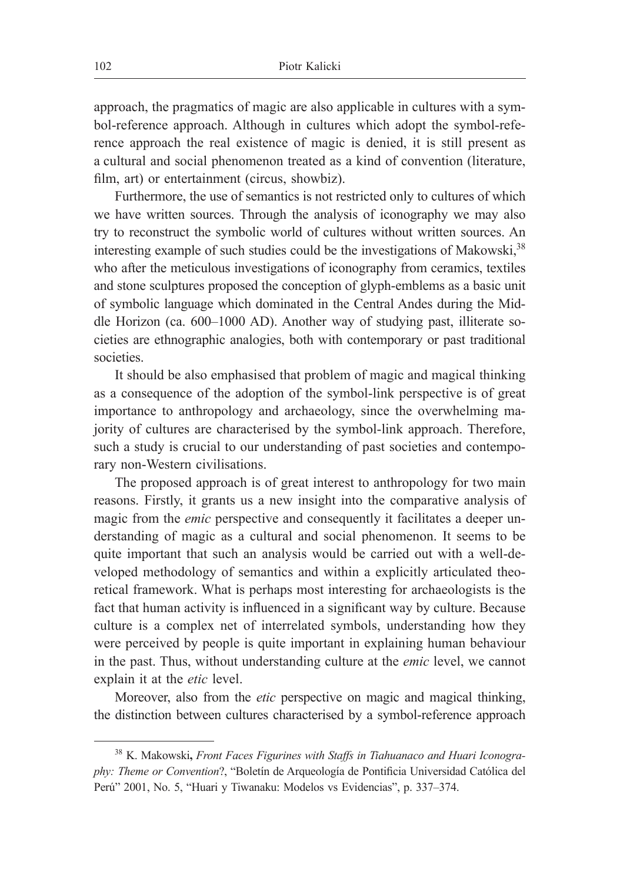approach, the pragmatics of magic are also applicable in cultures with a symbol-reference approach. Although in cultures which adopt the symbol-reference approach the real existence of magic is denied, it is still present as a cultural and social phenomenon treated as a kind of convention (literature, film, art) or entertainment (circus, showbiz).

Furthermore, the use of semantics is not restricted only to cultures of which we have written sources. Through the analysis of iconography we may also try to reconstruct the symbolic world of cultures without written sources. An interesting example of such studies could be the investigations of Makowski,  $38$ who after the meticulous investigations of iconography from ceramics, textiles and stone sculptures proposed the conception of glyph-emblems as a basic unit of symbolic language which dominated in the Central Andes during the Middle Horizon (ca. 600–1000 AD). Another way of studying past, illiterate societies are ethnographic analogies, both with contemporary or past traditional societies.

It should be also emphasised that problem of magic and magical thinking as a consequence of the adoption of the symbol-link perspective is of great importance to anthropology and archaeology, since the overwhelming majority of cultures are characterised by the symbol-link approach. Therefore, such a study is crucial to our understanding of past societies and contemporary non-Western civilisations.

The proposed approach is of great interest to anthropology for two main reasons. Firstly, it grants us a new insight into the comparative analysis of magic from the *emic* perspective and consequently it facilitates a deeper understanding of magic as a cultural and social phenomenon. It seems to be quite important that such an analysis would be carried out with a well-developed methodology of semantics and within a explicitly articulated theoretical framework. What is perhaps most interesting for archaeologists is the fact that human activity is influenced in a significant way by culture. Because culture is a complex net of interrelated symbols, understanding how they were perceived by people is quite important in explaining human behaviour in the past. Thus, without understanding culture at the *emic* level, we cannot explain it at the *etic* level.

Moreover, also from the *etic* perspective on magic and magical thinking, the distinction between cultures characterised by a symbol-reference approach

<sup>38</sup> K. Makowski**,** *Front Faces Figurines with Staffs in Tiahuanaco and Huari Iconography: Theme or Convention*?, "Boletín de Arqueología de Pontificia Universidad Católica del Perú" 2001, No. 5, "Huari y Tiwanaku: Modelos vs Evidencias", p. 337–374.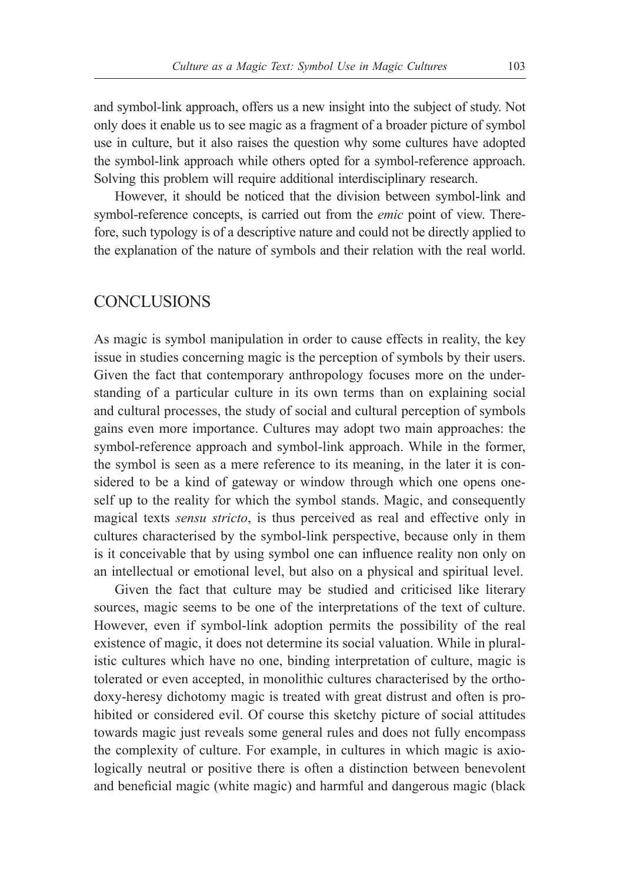and symbol-link approach, offers us a new insight into the subject of study. Not only does it enable us to see magic as a fragment of a broader picture of symbol use in culture, but it also raises the question why some cultures have adopted the symbol-link approach while others opted for a symbol-reference approach. Solving this problem will require additional interdisciplinary research.

However, it should be noticed that the division between symbol-link and symbol-reference concepts, is carried out from the *emic* point of view. Therefore, such typology is of a descriptive nature and could not be directly applied to the explanation of the nature of symbols and their relation with the real world.

### **CONCLUSIONS**

As magic is symbol manipulation in order to cause effects in reality, the key issue in studies concerning magic is the perception of symbols by their users. Given the fact that contemporary anthropology focuses more on the understanding of a particular culture in its own terms than on explaining social and cultural processes, the study of social and cultural perception of symbols gains even more importance. Cultures may adopt two main approaches: the symbol-reference approach and symbol-link approach. While in the former, the symbol is seen as a mere reference to its meaning, in the later it is considered to be a kind of gateway or window through which one opens oneself up to the reality for which the symbol stands. Magic, and consequently magical texts *sensu stricto*, is thus perceived as real and effective only in cultures characterised by the symbol-link perspective, because only in them is it conceivable that by using symbol one can influence reality non only on an intellectual or emotional level, but also on a physical and spiritual level.

Given the fact that culture may be studied and criticised like literary sources, magic seems to be one of the interpretations of the text of culture. However, even if symbol-link adoption permits the possibility of the real existence of magic, it does not determine its social valuation. While in pluralistic cultures which have no one, binding interpretation of culture, magic is tolerated or even accepted, in monolithic cultures characterised by the orthodoxy-heresy dichotomy magic is treated with great distrust and often is prohibited or considered evil. Of course this sketchy picture of social attitudes towards magic just reveals some general rules and does not fully encompass the complexity of culture. For example, in cultures in which magic is axiologically neutral or positive there is often a distinction between benevolent and beneficial magic (white magic) and harmful and dangerous magic (black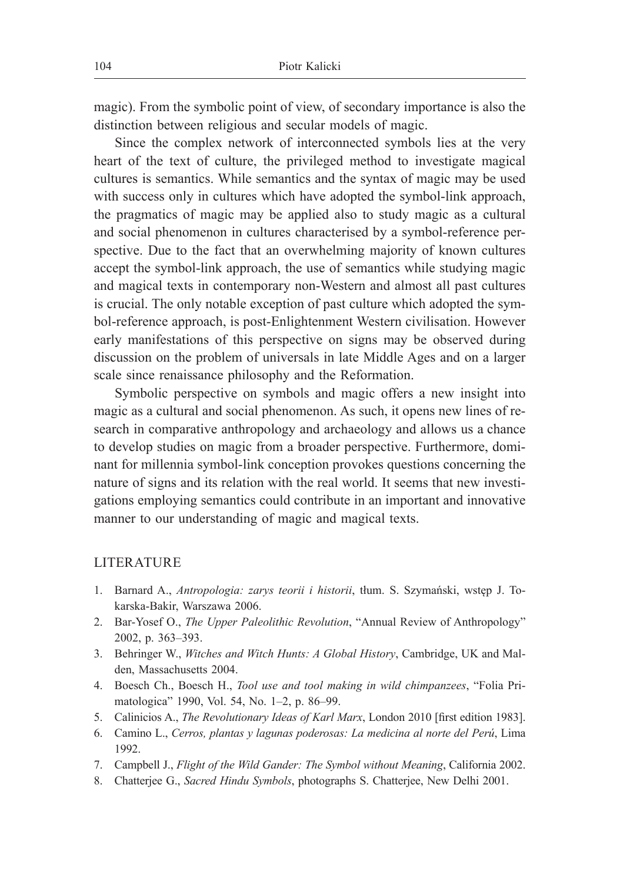magic). From the symbolic point of view, of secondary importance is also the distinction between religious and secular models of magic.

Since the complex network of interconnected symbols lies at the very heart of the text of culture, the privileged method to investigate magical cultures is semantics. While semantics and the syntax of magic may be used with success only in cultures which have adopted the symbol-link approach, the pragmatics of magic may be applied also to study magic as a cultural and social phenomenon in cultures characterised by a symbol-reference perspective. Due to the fact that an overwhelming majority of known cultures accept the symbol-link approach, the use of semantics while studying magic and magical texts in contemporary non-Western and almost all past cultures is crucial. The only notable exception of past culture which adopted the symbol-reference approach, is post-Enlightenment Western civilisation. However early manifestations of this perspective on signs may be observed during discussion on the problem of universals in late Middle Ages and on a larger scale since renaissance philosophy and the Reformation.

Symbolic perspective on symbols and magic offers a new insight into magic as a cultural and social phenomenon. As such, it opens new lines of research in comparative anthropology and archaeology and allows us a chance to develop studies on magic from a broader perspective. Furthermore, dominant for millennia symbol-link conception provokes questions concerning the nature of signs and its relation with the real world. It seems that new investigations employing semantics could contribute in an important and innovative manner to our understanding of magic and magical texts.

### LITERATURE

- 1. Barnard A., *Antropologia: zarys teorii i historii*, tłum. S. Szymański, wstęp J. Tokarska-Bakir, Warszawa 2006.
- 2. Bar-Yosef O., *The Upper Paleolithic Revolution*, "Annual Review of Anthropology" 2002, p. 363‒393.
- 3. Behringer W., *Witches and Witch Hunts: A Global History*, Cambridge, UK and Malden, Massachusetts 2004.
- 4. Boesch Ch., Boesch H., *Tool use and tool making in wild chimpanzees*, "Folia Primatologica" 1990, Vol. 54, No. 1‒2, p. 86‒99.
- 5. Calinicios A., *The Revolutionary Ideas of Karl Marx*, London 2010 [first edition 1983].
- 6. Camino L., *Cerros, plantas y lagunas poderosas: La medicina al norte del Perú*, Lima 1992.
- 7. Campbell J., *Flight of the Wild Gander: The Symbol without Meaning*, California 2002.
- 8. Chatterjee G., *Sacred Hindu Symbols*, photographs S. Chatterjee, New Delhi 2001.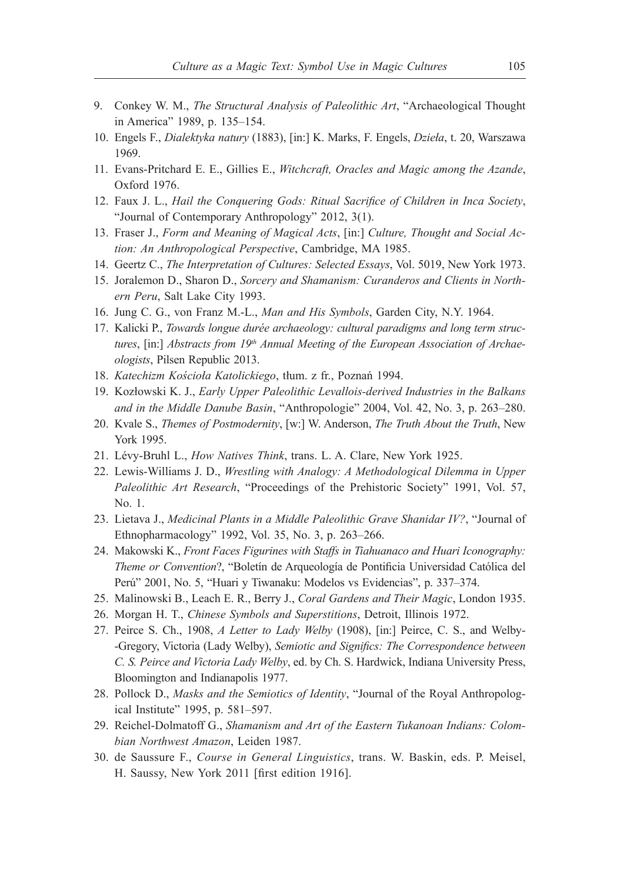- 9. Conkey W. M., *The Structural Analysis of Paleolithic Art*, "Archaeological Thought in America" 1989, p. 135-154.
- 10. Engels F., *Dialektyka natury* (1883), [in:] K. Marks, F. Engels, *Dzieła*, t. 20, Warszawa 1969.
- 11. Evans-Pritchard E. E., Gillies E., *Witchcraft, Oracles and Magic among the Azande*, Oxford 1976.
- 12. Faux J. L., *Hail the Conquering Gods: Ritual Sacrifice of Children in Inca Society*, "Journal of Contemporary Anthropology" 2012, 3(1).
- 13. Fraser J., *Form and Meaning of Magical Acts*, [in:] *Culture, Thought and Social Action: An Anthropological Perspective*, Cambridge, MA 1985.
- 14. Geertz C., *The Interpretation of Cultures: Selected Essays*, Vol. 5019, New York 1973.
- 15. Joralemon D., Sharon D., *Sorcery and Shamanism: Curanderos and Clients in Northern Peru*, Salt Lake City 1993.
- 16. Jung C. G., von Franz M.-L., *Man and His Symbols*, Garden City, N.Y. 1964.
- 17. Kalicki P., *Towards longue durée archaeology: cultural paradigms and long term struc*tures, [in:] Abstracts from 19<sup>th</sup> Annual Meeting of the European Association of Archae*ologists*, Pilsen Republic 2013.
- 18. *Katechizm Kościoła Katolickiego*, tłum. z fr., Poznań 1994.
- 19. Kozłowski K. J., *Early Upper Paleolithic Levallois-derived Industries in the Balkans*  and in the Middle Danube Basin, "Anthropologie" 2004, Vol. 42, No. 3, p. 263-280.
- 20. Kvale S., *Themes of Postmodernity*, [w:] W. Anderson, *The Truth About the Truth*, New York 1995.
- 21. Lévy-Bruhl L., *How Natives Think*, trans. L. A. Clare, New York 1925.
- 22. Lewis-Williams J. D., *Wrestling with Analogy: A Methodological Dilemma in Upper Paleolithic Art Research*, "Proceedings of the Prehistoric Society" 1991, Vol. 57, No. 1.
- 23. Lietava J., *Medicinal Plants in a Middle Paleolithic Grave Shanidar IV?*, "Journal of Ethnopharmacology" 1992, Vol. 35, No. 3, p. 263-266.
- 24. Makowski K., *Front Faces Figurines with Staffs in Tiahuanaco and Huari Iconography: Theme or Convention*?, "Boletín de Arqueología de Pontificia Universidad Católica del Perú" 2001, No. 5, "Huari y Tiwanaku: Modelos vs Evidencias", p. 337–374.
- 25. Malinowski B., Leach E. R., Berry J., *Coral Gardens and Their Magic*, London 1935.
- 26. Morgan H. T., *Chinese Symbols and Superstitions*, Detroit, Illinois 1972.
- 27. Peirce S. Ch., 1908, *A Letter to Lady Welby* (1908), [in:] Peirce, C. S., and Welby- -Gregory, Victoria (Lady Welby), *Semiotic and Significs: The Correspondence between C. S. Peirce and Victoria Lady Welby*, ed. by Ch. S. Hardwick, Indiana University Press, Bloomington and Indianapolis 1977.
- 28. Pollock D., *Masks and the Semiotics of Identity*, "Journal of the Royal Anthropological Institute" 1995, p. 581–597.
- 29. Reichel-Dolmatoff G., *Shamanism and Art of the Eastern Tukanoan Indians: Colombian Northwest Amazon*, Leiden 1987.
- 30. de Saussure F., *Course in General Linguistics*, trans. W. Baskin, eds. P. Meisel, H. Saussy, New York 2011 [first edition 1916].